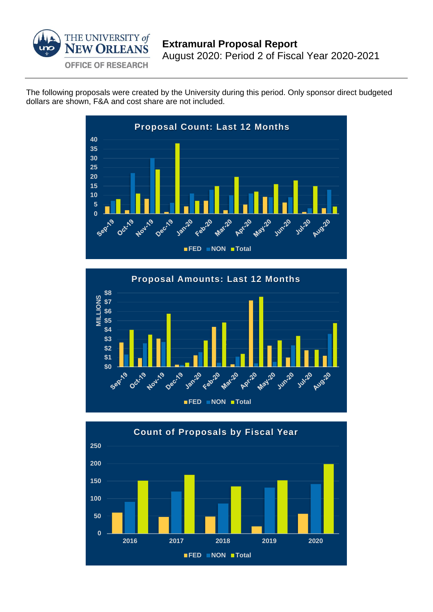

The following proposals were created by the University during this period. Only sponsor direct budgeted dollars are shown, F&A and cost share are not included.





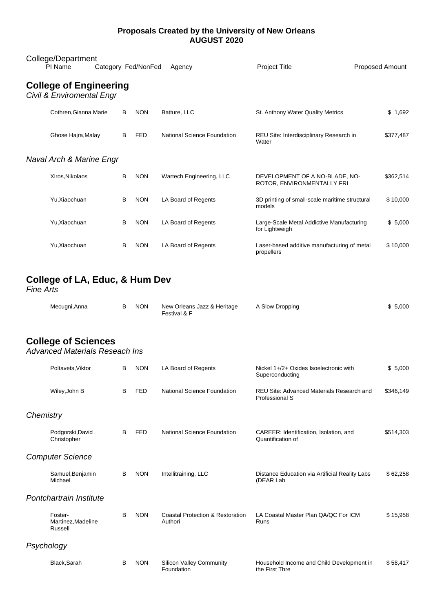#### **Proposals Created by the University of New Orleans AUGUST 2020**

| College/Department<br>PI Name                                         |  |   | Category Fed/NonFed | Agency                             | <b>Project Title</b>                                         | <b>Proposed Amount</b> |  |
|-----------------------------------------------------------------------|--|---|---------------------|------------------------------------|--------------------------------------------------------------|------------------------|--|
| <b>College of Engineering</b><br><b>Civil &amp; Enviromental Engr</b> |  |   |                     |                                    |                                                              |                        |  |
| Cothren.Gianna Marie                                                  |  | B | <b>NON</b>          | Batture, LLC                       | St. Anthony Water Quality Metrics                            | \$1,692                |  |
| Ghose Hajra, Malay                                                    |  | B | <b>FED</b>          | <b>National Science Foundation</b> | REU Site: Interdisciplinary Research in<br>Water             | \$377,487              |  |
| Naval Arch & Marine Engr                                              |  |   |                     |                                    |                                                              |                        |  |
| Xiros, Nikolaos                                                       |  | B | <b>NON</b>          | Wartech Engineering, LLC           | DEVELOPMENT OF A NO-BLADE, NO-<br>ROTOR, ENVIRONMENTALLY FRI | \$362,514              |  |
| Yu, Xiaochuan                                                         |  | B | <b>NON</b>          | LA Board of Regents                | 3D printing of small-scale maritime structural<br>models     | \$10,000               |  |
| Yu, Xiaochuan                                                         |  | B | <b>NON</b>          | LA Board of Regents                | Large-Scale Metal Addictive Manufacturing<br>for Lightweigh  | \$5,000                |  |
| Yu.Xiaochuan                                                          |  | B | <b>NON</b>          | LA Board of Regents                | Laser-based additive manufacturing of metal<br>propellers    | \$10,000               |  |

# **College of LA, Educ, & Hum Dev**

*Fine Arts*

| Mecugni, Anna |  | <b>NON</b> | New Orleans Jazz & Heritage<br>Festival & F | A Slow Dropping | \$5,000 |
|---------------|--|------------|---------------------------------------------|-----------------|---------|
|---------------|--|------------|---------------------------------------------|-----------------|---------|

### **College of Sciences**

*Advanced Materials Reseach Ins*

|            | Poltavets, Viktor                        | В | <b>NON</b> | LA Board of Regents                                    | Nickel 1+/2+ Oxides Isoelectronic with<br>Superconducting   | \$5,000   |  |
|------------|------------------------------------------|---|------------|--------------------------------------------------------|-------------------------------------------------------------|-----------|--|
|            | Wiley, John B                            | В | <b>FED</b> | National Science Foundation                            | REU Site: Advanced Materials Research and<br>Professional S | \$346,149 |  |
| Chemistry  |                                          |   |            |                                                        |                                                             |           |  |
|            | Podgorski, David<br>Christopher          | B | <b>FED</b> | National Science Foundation                            | CAREER: Identification, Isolation, and<br>Quantification of | \$514,303 |  |
|            | <b>Computer Science</b>                  |   |            |                                                        |                                                             |           |  |
|            | Samuel, Benjamin<br>Michael              | В | <b>NON</b> | Intellitraining, LLC                                   | Distance Education via Artificial Reality Labs<br>(DEAR Lab | \$62,258  |  |
|            | Pontchartrain Institute                  |   |            |                                                        |                                                             |           |  |
|            | Foster-<br>Martinez, Madeline<br>Russell | в | <b>NON</b> | <b>Coastal Protection &amp; Restoration</b><br>Authori | LA Coastal Master Plan QA/QC For ICM<br>Runs                | \$15,958  |  |
| Psychology |                                          |   |            |                                                        |                                                             |           |  |
|            | Black, Sarah                             | В | <b>NON</b> | <b>Silicon Valley Community</b><br>Foundation          | Household Income and Child Development in<br>the First Thre | \$58,417  |  |